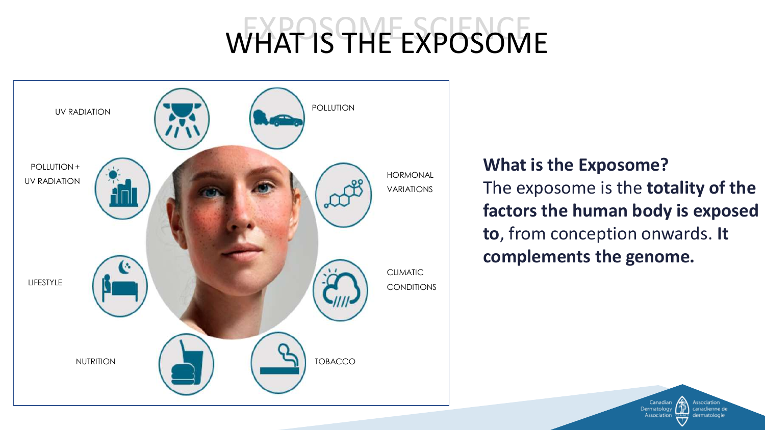# WHAT IS THE EXPOSOME



#### **What is the Exposome?**

The exposome is the **totality of the factors the human body is exposed to**, from conception onwards. **It complements the genome.**

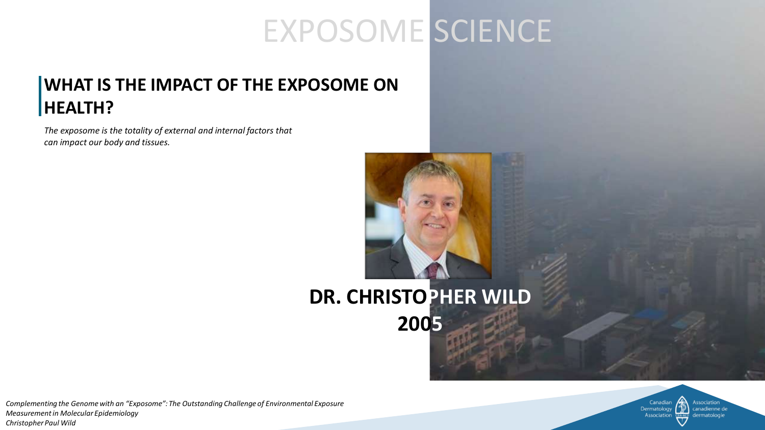#### EXPOSOME SCIENCE

#### **WHAT IS THE IMPACT OF THE EXPOSOME ON HEALTH?**

*The exposome is the totality of external and internal factors that can impact our body and tissues.* 



#### **DR. CHRISTOPHER WILD 2005**



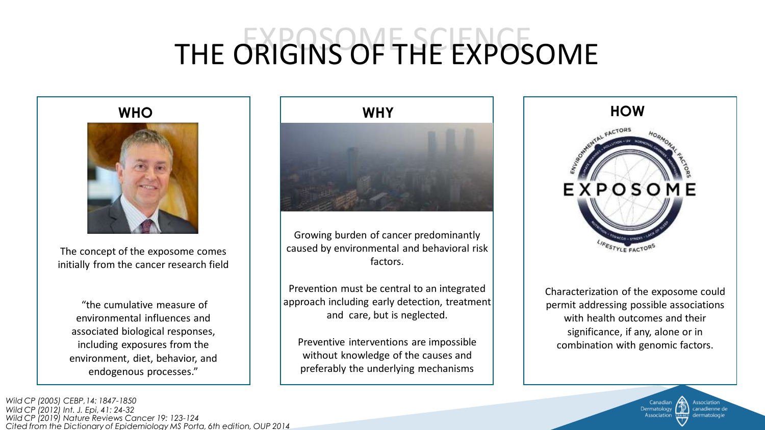## THE ORIGINS OF THE EXPOSOME



The concept of the exposome comes initially from the cancer research field

"the cumulative measure of environmental influences and associated biological responses, including exposures from the environment, diet, behavior, and endogenous processes."

*Cited from the Dictionary of Epidemiology MS Porta, 6th edition, OUP 2014 Wild CP (2019) Nature Reviews Cancer 19: 123-124 Wild CP (2005) CEBP,14: 1847-1850 Wild CP (2012) Int. J. Epi, 41: 24-32*



Growing burden of cancer predominantly caused by environmental and behavioral risk factors.

Prevention must be central to an integrated approach including early detection, treatment and care, but is neglected.

Preventive interventions are impossible without knowledge of the causes and preferably the underlying mechanisms



Characterization of the exposome could permit addressing possible associations with health outcomes and their significance, if any, alone or in combination with genomic factors.

> Dermatolog canadienne de Associatio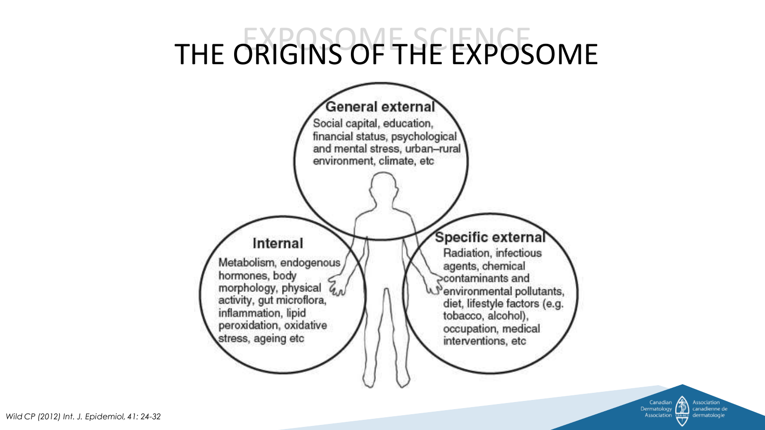## THE ORIGINS OF THE EXPOSOME



Association Canadian canadienne de Dermatology **Association** dermatologie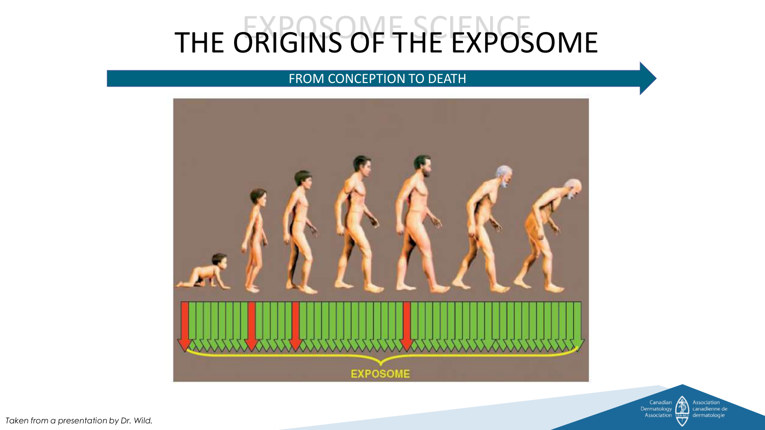#### THE ORIGINS OF THE EXPOSOME

#### FROM CONCEPTION TO DEATH





*Taken from a presentation by Dr. Wild.*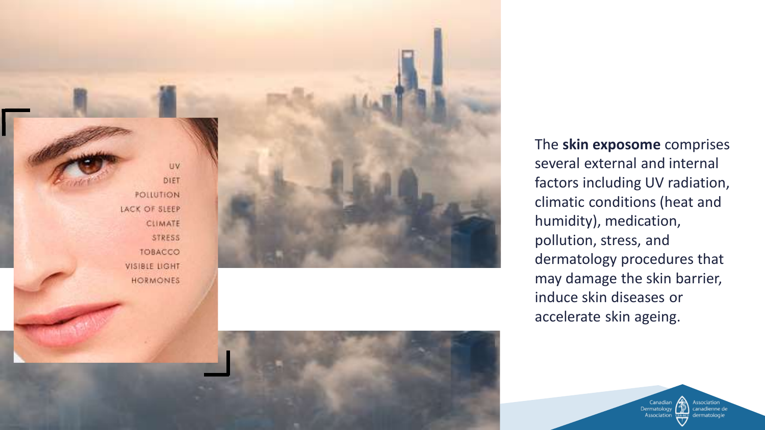

The **skin exposome** comprises several external and internal factors including UV radiation, climatic conditions (heat and humidity), medication, pollution, stress, and dermatology procedures that may damage the skin barrier, induce skin diseases or accelerate skin ageing.

> Association<br>canadienne de Dermatology Association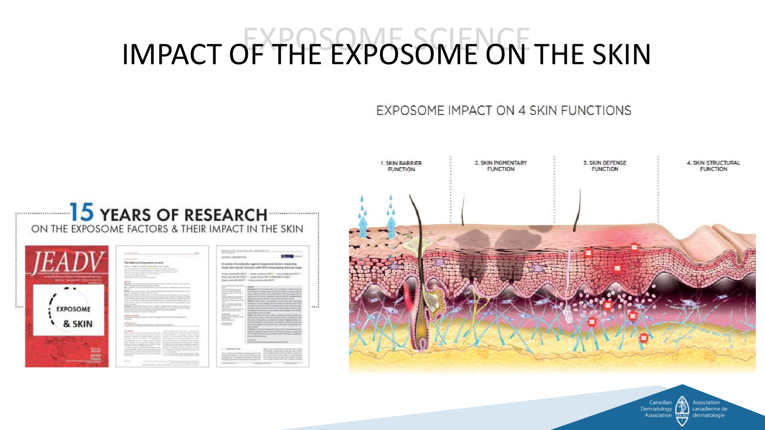## IMPACT OF THE EXPOSOME ON THE SKIN

EXPOSOME IMPACT ON 4 SKIN FUNCTIONS



Association Canadian Dermatology canadienne de Association dermatologie